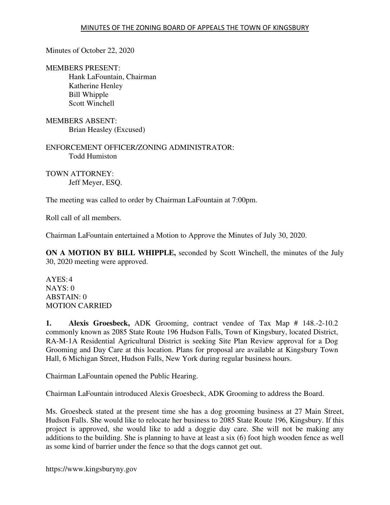Minutes of October 22, 2020

MEMBERS PRESENT: Hank LaFountain, Chairman Katherine Henley Bill Whipple Scott Winchell

MEMBERS ABSENT: Brian Heasley (Excused)

ENFORCEMENT OFFICER/ZONING ADMINISTRATOR: Todd Humiston

TOWN ATTORNEY: Jeff Meyer, ESQ.

The meeting was called to order by Chairman LaFountain at 7:00pm.

Roll call of all members.

Chairman LaFountain entertained a Motion to Approve the Minutes of July 30, 2020.

**ON A MOTION BY BILL WHIPPLE,** seconded by Scott Winchell, the minutes of the July 30, 2020 meeting were approved.

 $AYES:4$ NAYS: 0 ABSTAIN: 0 MOTION CARRIED

**1. Alexis Groesbeck,** ADK Grooming, contract vendee of Tax Map # 148.-2-10.2 commonly known as 2085 State Route 196 Hudson Falls, Town of Kingsbury, located District, RA-M-1A Residential Agricultural District is seeking Site Plan Review approval for a Dog Grooming and Day Care at this location. Plans for proposal are available at Kingsbury Town Hall, 6 Michigan Street, Hudson Falls, New York during regular business hours.

Chairman LaFountain opened the Public Hearing.

Chairman LaFountain introduced Alexis Groesbeck, ADK Grooming to address the Board.

Ms. Groesbeck stated at the present time she has a dog grooming business at 27 Main Street, Hudson Falls. She would like to relocate her business to 2085 State Route 196, Kingsbury. If this project is approved, she would like to add a doggie day care. She will not be making any additions to the building. She is planning to have at least a six (6) foot high wooden fence as well as some kind of barrier under the fence so that the dogs cannot get out.

https://www.kingsburyny.gov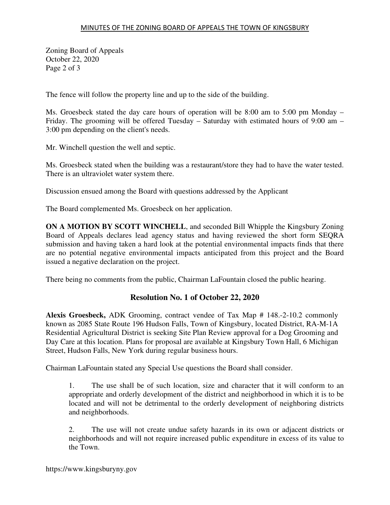Zoning Board of Appeals October 22, 2020 Page 2 of 3

The fence will follow the property line and up to the side of the building.

Ms. Groesbeck stated the day care hours of operation will be 8:00 am to 5:00 pm Monday – Friday. The grooming will be offered Tuesday – Saturday with estimated hours of 9:00 am – 3:00 pm depending on the client's needs.

Mr. Winchell question the well and septic.

Ms. Groesbeck stated when the building was a restaurant/store they had to have the water tested. There is an ultraviolet water system there.

Discussion ensued among the Board with questions addressed by the Applicant

The Board complemented Ms. Groesbeck on her application.

**ON A MOTION BY SCOTT WINCHELL**, and seconded Bill Whipple the Kingsbury Zoning Board of Appeals declares lead agency status and having reviewed the short form SEQRA submission and having taken a hard look at the potential environmental impacts finds that there are no potential negative environmental impacts anticipated from this project and the Board issued a negative declaration on the project.

There being no comments from the public, Chairman LaFountain closed the public hearing.

## **Resolution No. 1 of October 22, 2020**

**Alexis Groesbeck,** ADK Grooming, contract vendee of Tax Map # 148.-2-10.2 commonly known as 2085 State Route 196 Hudson Falls, Town of Kingsbury, located District, RA-M-1A Residential Agricultural District is seeking Site Plan Review approval for a Dog Grooming and Day Care at this location. Plans for proposal are available at Kingsbury Town Hall, 6 Michigan Street, Hudson Falls, New York during regular business hours.

Chairman LaFountain stated any Special Use questions the Board shall consider.

1. The use shall be of such location, size and character that it will conform to an appropriate and orderly development of the district and neighborhood in which it is to be located and will not be detrimental to the orderly development of neighboring districts and neighborhoods.

2. The use will not create undue safety hazards in its own or adjacent districts or neighborhoods and will not require increased public expenditure in excess of its value to the Town.